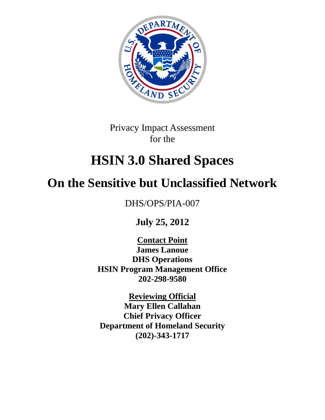

Privacy Impact Assessment for the

# **HSIN 3.0 Shared Spaces**

# **On the Sensitive but Unclassified Network**

DHS/OPS/PIA-007

**July 25, 2012**

**Contact Point James Lanoue DHS Operations HSIN Program Management Office 202-298-9580**

**Reviewing Official Mary Ellen Callahan Chief Privacy Officer Department of Homeland Security (202)-343-1717**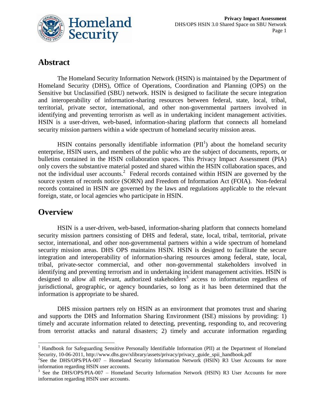

# **Abstract**

The Homeland Security Information Network (HSIN) is maintained by the Department of Homeland Security (DHS), Office of Operations, Coordination and Planning (OPS) on the Sensitive but Unclassified (SBU) network. HSIN is designed to facilitate the secure integration and interoperability of information-sharing resources between federal, state, local, tribal, territorial, private sector, international, and other non-governmental partners involved in identifying and preventing terrorism as well as in undertaking incident management activities. HSIN is a user-driven, web-based, information-sharing platform that connects all homeland security mission partners within a wide spectrum of homeland security mission areas.

HSIN contains personally identifiable information  $(PII^1)$  about the homeland security enterprise, HSIN users, and members of the public who are the subject of documents, reports, or bulletins contained in the HSIN collaboration spaces. This Privacy Impact Assessment (PIA) only covers the substantive material posted and shared within the HSIN collaboration spaces, and not the individual user accounts.<sup>2</sup> Federal records contained within HSIN are governed by the source system of records notice (SORN) and Freedom of Information Act (FOIA). Non-federal records contained in HSIN are governed by the laws and regulations applicable to the relevant foreign, state, or local agencies who participate in HSIN.

## **Overview**

HSIN is a user-driven, web-based, information-sharing platform that connects homeland security mission partners consisting of DHS and federal, state, local, tribal, territorial, private sector, international, and other non-governmental partners within a wide spectrum of homeland security mission areas. DHS OPS maintains HSIN. HSIN is designed to facilitate the secure integration and interoperability of information-sharing resources among federal, state, local, tribal, private-sector commercial, and other non-governmental stakeholders involved in identifying and preventing terrorism and in undertaking incident management activities. HSIN is designed to allow all relevant, authorized stakeholders<sup>3</sup> access to information regardless of jurisdictional, geographic, or agency boundaries, so long as it has been determined that the information is appropriate to be shared.

DHS mission partners rely on HSIN as an environment that promotes trust and sharing and supports the DHS and Information Sharing Environment (ISE) missions by providing: 1) timely and accurate information related to detecting, preventing, responding to, and recovering from terrorist attacks and natural disasters; 2) timely and accurate information regarding

 $\overline{a}$ <sup>1</sup> Handbook for Safeguarding Sensitive Personally Identifiable Information (PII) at the Department of Homeland Security, 10-06-2011, http://www.dhs.gov/xlibrary/assets/privacy/privacy\_guide\_spii\_handbook.pdf

<sup>&</sup>lt;sup>2</sup>See the DHS/OPS/PIA-007 – Homeland Security Information Network (HSIN) R3 User Accounts for more information regarding HSIN user accounts.

<sup>&</sup>lt;sup>3</sup> See the DHS/OPS/PIA-007 – Homeland Security Information Network (HSIN) R3 User Accounts for more information regarding HSIN user accounts.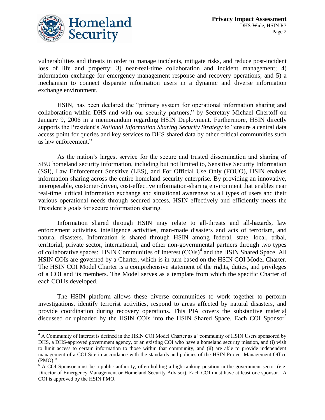

 $\overline{a}$ 

vulnerabilities and threats in order to manage incidents, mitigate risks, and reduce post-incident loss of life and property; 3) near-real-time collaboration and incident management; 4) information exchange for emergency management response and recovery operations; and 5) a mechanism to connect disparate information users in a dynamic and diverse information exchange environment.

HSIN, has been declared the "primary system for operational information sharing and collaboration within DHS and with our security partners," by Secretary Michael Chertoff on January 9, 2006 in a memorandum regarding HSIN Deployment. Furthermore, HSIN directly supports the President's *National Information Sharing Security Strategy* to "ensure a central data" access point for queries and key services to DHS shared data by other critical communities such as law enforcement."

As the nation's largest service for the secure and trusted dissemination and sharing of SBU homeland security information, including but not limited to, Sensitive Security Information (SSI), Law Enforcement Sensitive (LES), and For Official Use Only (FOUO), HSIN enables information sharing across the entire homeland security enterprise. By providing an innovative, interoperable, customer-driven, cost-effective information-sharing environment that enables near real-time, critical information exchange and situational awareness to all types of users and their various operational needs through secured access, HSIN effectively and efficiently meets the President's goals for secure information sharing.

Information shared through HSIN may relate to all-threats and all-hazards, law enforcement activities, intelligence activities, man-made disasters and acts of terrorism, and natural disasters. Information is shared through HSIN among federal, state, local, tribal, territorial, private sector, international, and other non-governmental partners through two types of collaborative spaces: HSIN Communities of Interest (COIs)<sup>4</sup> and the HSIN Shared Space. All HSIN COIs are governed by a Charter, which is in turn based on the HSIN COI Model Charter. The HSIN COI Model Charter is a comprehensive statement of the rights, duties, and privileges of a COI and its members. The Model serves as a template from which the specific Charter of each COI is developed.

The HSIN platform allows these diverse communities to work together to perform investigations, identify terrorist activities, respond to areas affected by natural disasters, and provide coordination during recovery operations. This PIA covers the substantive material discussed or uploaded by the HSIN COIs into the HSIN Shared Space. Each COI Sponsor<sup>5</sup>

<sup>&</sup>lt;sup>4</sup> A Community of Interest is defined in the HSIN COI Model Charter as a "community of HSIN Users sponsored by DHS, a DHS-approved government agency, or an existing COI who have a homeland security mission, and (i) wish to limit access to certain information to those within that community, and (ii) are able to provide independent management of a COI Site in accordance with the standards and policies of the HSIN Project Management Office  $(PMO).$ "

 $5$  A COI Sponsor must be a public authority, often holding a high-ranking position in the government sector (e.g. Director of Emergency Management or Homeland Security Advisor). Each COI must have at least one sponsor. A COI is approved by the HSIN PMO.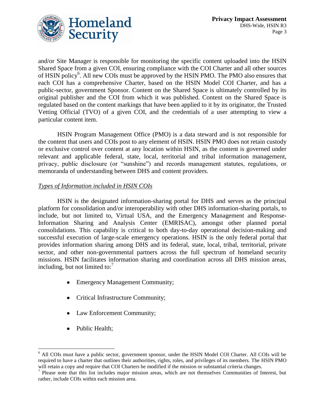

and/or Site Manager is responsible for monitoring the specific content uploaded into the HSIN Shared Space from a given COI, ensuring compliance with the COI Charter and all other sources of HSIN policy<sup>6</sup>. All new COIs must be approved by the HSIN PMO. The PMO also ensures that each COI has a comprehensive Charter, based on the HSIN Model COI Charter, and has a public-sector, government Sponsor. Content on the Shared Space is ultimately controlled by its original publisher and the COI from which it was published. Content on the Shared Space is regulated based on the content markings that have been applied to it by its originator, the Trusted Vetting Official (TVO) of a given COI, and the credentials of a user attempting to view a particular content item.

HSIN Program Management Office (PMO) is a data steward and is not responsible for the content that users and COIs post to any element of HSIN. HSIN PMO does not retain custody or exclusive control over content at any location within HSIN, as the content is governed under relevant and applicable federal, state, local, territorial and tribal information management, privacy, public disclosure (or "sunshine") and records management statutes, regulations, or memoranda of understanding between DHS and content providers.

#### *Types of Information included in HSIN COIs*

HSIN is the designated information-sharing portal for DHS and serves as the principal platform for consolidation and/or interoperability with other DHS information-sharing portals, to include, but not limited to, Virtual USA, and the Emergency Management and Response-Information Sharing and Analysis Center (EMRISAC), amongst other planned portal consolidations. This capability is critical to both day-to-day operational decision-making and successful execution of large-scale emergency operations. HSIN is the only federal portal that provides information sharing among DHS and its federal, state, local, tribal, territorial, private sector, and other non-governmental partners across the full spectrum of homeland security missions. HSIN facilitates information sharing and coordination across all DHS mission areas, including, but not limited to: $^7$ 

- Emergency Management Community;
- Critical Infrastructure Community;
- Law Enforcement Community;
- Public Health;

 $\overline{a}$ 

<sup>&</sup>lt;sup>6</sup> All COIs must have a public sector, government sponsor, under the HSIN Model COI Charter. All COIs will be required to have a charter that outlines their authorities, rights, roles, and privileges of its members. The HSIN PMO will retain a copy and require that COI Charters be modified if the mission or substantial criteria changes.<br><sup>7</sup> Please note that this list includes major mission areas, which are not themselves Communities of Interest, b

rather, include COIs within each mission area.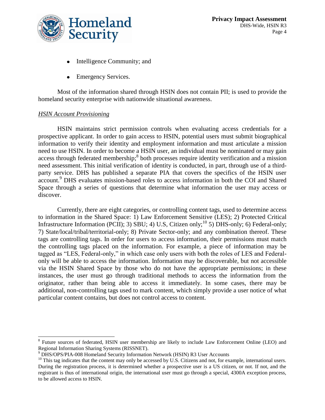

- Intelligence Community; and  $\bullet$
- Emergency Services.  $\bullet$

Most of the information shared through HSIN does not contain PII; is used to provide the homeland security enterprise with nationwide situational awareness.

#### *HSIN Account Provisioning*

 $\overline{a}$ 

HSIN maintains strict permission controls when evaluating access credentials for a prospective applicant. In order to gain access to HSIN, potential users must submit biographical information to verify their identity and employment information and must articulate a mission need to use HSIN. In order to become a HSIN user, an individual must be nominated or may gain access through federated membership;<sup>8</sup> both processes require identity verification and a mission need assessment. This initial verification of identity is conducted, in part, through use of a thirdparty service. DHS has published a separate PIA that covers the specifics of the HSIN user account.<sup>9</sup> DHS evaluates mission-based roles to access information in both the COI and Shared Space through a series of questions that determine what information the user may access or discover.

Currently, there are eight categories, or controlling content tags, used to determine access to information in the Shared Space: 1) Law Enforcement Sensitive (LES); 2) Protected Critical Infrastructure Information (PCII); 3) SBU; 4) U.S, Citizen only;<sup>10</sup> 5) DHS-only; 6) Federal-only; 7) State/local/tribal/territorial-only; 8) Private Sector-only; and any combination thereof. These tags are controlling tags. In order for users to access information, their permissions must match the controlling tags placed on the information. For example, a piece of information may be tagged as "LES, Federal-only," in which case only users with both the roles of LES and Federalonly will be able to access the information. Information may be discoverable, but not accessible via the HSIN Shared Space by those who do not have the appropriate permissions; in these instances, the user must go through traditional methods to access the information from the originator, rather than being able to access it immediately. In some cases, there may be additional, non-controlling tags used to mark content, which simply provide a user notice of what particular content contains, but does not control access to content.

<sup>&</sup>lt;sup>8</sup> Future sources of federated, HSIN user membership are likely to include Law Enforcement Online (LEO) and Regional Information Sharing Systems (RISSNET).

<sup>9</sup> DHS/OPS/PIA-008 Homeland Security Information Network (HSIN) R3 User Accounts

 $10$  This tag indicates that the content may only be accessed by U.S. Citizens and not, for example, international users. During the registration process, it is determined whether a prospective user is a US citizen, or not. If not, and the registrant is thus of international origin, the international user must go through a special, 4300A exception process, to be allowed access to HSIN.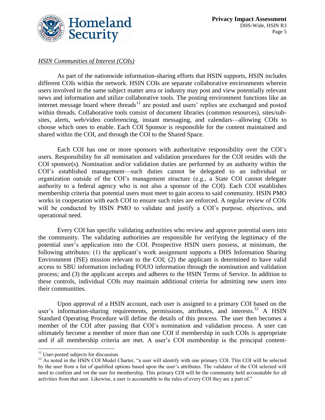

#### *HSIN Communities of Interest (COIs)*

As part of the nationwide information-sharing efforts that HSIN supports, HSIN includes different COIs within the network. HSIN COIs are separate collaborative environments wherein users involved in the same subject matter area or industry may post and view potentially relevant news and information and utilize collaborative tools. The posting environment functions like an internet message board where threads<sup>11</sup> are posted and users' replies are exchanged and posted within threads. Collaborative tools consist of document libraries (common resources), sites/subsites, alerts, web/video conferencing, instant messaging, and calendars—allowing COIs to choose which ones to enable. Each COI Sponsor is responsible for the content maintained and shared within the COI, and through the COI to the Shared Space.

Each COI has one or more sponsors with authoritative responsibility over the COI's users. Responsibility for all nomination and validation procedures for the COI resides with the COI sponsor(s). Nomination and/or validation duties are performed by an authority within the COI's established management—such duties cannot be delegated to an individual or organization outside of the COI's management structure (e.g., a State COI cannot delegate authority to a federal agency who is not also a sponsor of the COI). Each COI establishes membership criteria that potential users must meet to gain access to said community. HSIN PMO works in cooperation with each COI to ensure such rules are enforced. A regular review of COIs will be conducted by HSIN PMO to validate and justify a COI's purpose, objectives, and operational need.

Every COI has specific validating authorities who review and approve potential users into the community. The validating authorities are responsible for verifying the legitimacy of the potential user's application into the COI. Prospective HSIN users possess, at minimum, the following attributes: (1) the applicant's work assignment supports a DHS Information Sharing Environment (ISE) mission relevant to the COI; (2) the applicant is determined to have valid access to SBU information including FOUO information through the nomination and validation process; and (3) the applicant accepts and adheres to the HSIN Terms of Service. In addition to these controls, individual COIs may maintain additional criteria for admitting new users into their communities.

Upon approval of a HSIN account, each user is assigned to a primary COI based on the user's information-sharing requirements, permissions, attributes, and interests.<sup>12</sup> A HSIN Standard Operating Procedure will define the details of this process. The user then becomes a member of the COI after passing that COI's nomination and validation process. A user can ultimately become a member of more than one COI if membership in such COIs is appropriate and if all membership criteria are met. A user's COI membership is the principal content-

 $\overline{a}$  $11$  User-posted subjects for discussion.

 $12$  As noted in the HSIN COI Model Charter, "a user will identify with one primary COI. This COI will be selected by the user from a list of qualified options based upon the user's attributes. The validator of the COI selected will need to confirm and vet the user for membership. This primary COI will be the community held accountable for all activities from that user. Likewise, a user is accountable to the rules of every COI they are a part of."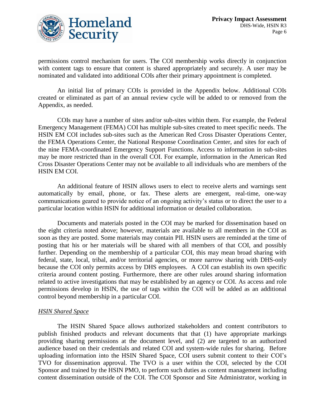

permissions control mechanism for users. The COI membership works directly in conjunction with content tags to ensure that content is shared appropriately and securely. A user may be nominated and validated into additional COIs after their primary appointment is completed.

An initial list of primary COIs is provided in the Appendix below. Additional COIs created or eliminated as part of an annual review cycle will be added to or removed from the Appendix, as needed.

COIs may have a number of sites and/or sub-sites within them. For example, the Federal Emergency Management (FEMA) COI has multiple sub-sites created to meet specific needs. The HSIN EM COI includes sub-sites such as the American Red Cross Disaster Operations Center, the FEMA Operations Center, the National Response Coordination Center, and sites for each of the nine FEMA-coordinated Emergency Support Functions. Access to information in sub-sites may be more restricted than in the overall COI. For example, information in the American Red Cross Disaster Operations Center may not be available to all individuals who are members of the HSIN EM COI.

An additional feature of HSIN allows users to elect to receive alerts and warnings sent automatically by email, phone, or fax. These alerts are emergent, real-time, one-way communications geared to provide notice of an ongoing activity's status or to direct the user to a particular location within HSIN for additional information or detailed collaboration.

Documents and materials posted in the COI may be marked for dissemination based on the eight criteria noted above; however, materials are available to all members in the COI as soon as they are posted. Some materials may contain PII. HSIN users are reminded at the time of posting that his or her materials will be shared with all members of that COI, and possibly further. Depending on the membership of a particular COI, this may mean broad sharing with federal, state, local, tribal, and/or territorial agencies, or more narrow sharing with DHS-only because the COI only permits access by DHS employees. A COI can establish its own specific criteria around content posting. Furthermore, there are other rules around sharing information related to active investigations that may be established by an agency or COI. As access and role permissions develop in HSIN, the use of tags within the COI will be added as an additional control beyond membership in a particular COI.

#### *HSIN Shared Space*

The HSIN Shared Space allows authorized stakeholders and content contributors to publish finished products and relevant documents that that (1) have appropriate markings providing sharing permissions at the document level, and (2) are targeted to an authorized audience based on their credentials and related COI and system-wide rules for sharing. Before uploading information into the HSIN Shared Space, COI users submit content to their COI's TVO for dissemination approval. The TVO is a user within the COI, selected by the COI Sponsor and trained by the HSIN PMO, to perform such duties as content management including content dissemination outside of the COI. The COI Sponsor and Site Administrator, working in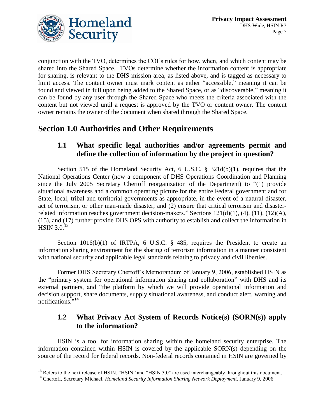

conjunction with the TVO, determines the COI's rules for how, when, and which content may be shared into the Shared Space. TVOs determine whether the information content is appropriate for sharing, is relevant to the DHS mission area, as listed above, and is tagged as necessary to limit access. The content owner must mark content as either "accessible," meaning it can be found and viewed in full upon being added to the Shared Space, or as "discoverable," meaning it can be found by any user through the Shared Space who meets the criteria associated with the content but not viewed until a request is approved by the TVO or content owner. The content owner remains the owner of the document when shared through the Shared Space.

# **Section 1.0 Authorities and Other Requirements**

#### **1.1 What specific legal authorities and/or agreements permit and define the collection of information by the project in question?**

Section 515 of the Homeland Security Act, 6 U.S.C. § 321d(b)(1), requires that the National Operations Center (now a component of DHS Operations Coordination and Planning since the July 2005 Secretary Chertoff reorganization of the Department) to  $(1)$  provide situational awareness and a common operating picture for the entire Federal government and for State, local, tribal and territorial governments as appropriate, in the event of a natural disaster, act of terrorism, or other man-made disaster; and (2) ensure that critical terrorism and disasterrelated information reaches government decision-makers." Sections  $121(d)(1)$ ,  $(4)$ ,  $(11)$ ,  $(12)(A)$ , (15), and (17) further provide DHS OPS with authority to establish and collect the information in  $\overline{\text{HSIN}}$  3.0. $^{13}$ 

Section  $1016(b)(1)$  of IRTPA, 6 U.S.C. § 485, requires the President to create an information sharing environment for the sharing of terrorism information in a manner consistent with national security and applicable legal standards relating to privacy and civil liberties.

Former DHS Secretary Chertoff's Memorandum of January 9, 2006, established HSIN as the "primary system for operational information sharing and collaboration" with DHS and its external partners, and "the platform by which we will provide operational information and decision support, share documents, supply situational awareness, and conduct alert, warning and notifications."<sup>14</sup>

## **1.2 What Privacy Act System of Records Notice(s) (SORN(s)) apply to the information?**

HSIN is a tool for information sharing within the homeland security enterprise. The information contained within HSIN is covered by the applicable SORN(s) depending on the source of the record for federal records. Non-federal records contained in HSIN are governed by

 $\overline{a}$  $^{13}$  Refers to the next release of HSIN. "HSIN" and "HSIN 3.0" are used interchangeably throughout this document.

<sup>&</sup>lt;sup>14</sup> Chertoff, Secretary Michael. *Homeland Security Information Sharing Network Deployment*. January 9, 2006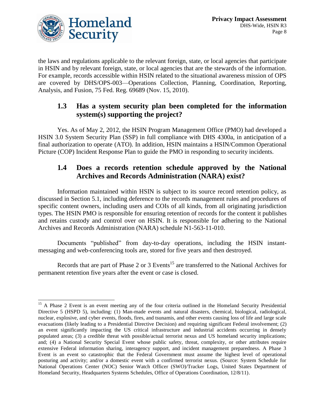

l

the laws and regulations applicable to the relevant foreign, state, or local agencies that participate in HSIN and by relevant foreign, state, or local agencies that are the stewards of the information. For example, records accessible within HSIN related to the situational awareness mission of OPS are covered by DHS/OPS-003—Operations Collection, Planning, Coordination, Reporting, Analysis, and Fusion, 75 Fed. Reg. 69689 (Nov. 15, 2010).

#### **1.3 Has a system security plan been completed for the information system(s) supporting the project?**

Yes. As of May 2, 2012, the HSIN Program Management Office (PMO) had developed a HSIN 3.0 System Security Plan (SSP) in full compliance with DHS 4300a, in anticipation of a final authorization to operate (ATO). In addition, HSIN maintains a HSIN/Common Operational Picture (COP) Incident Response Plan to guide the PMO in responding to security incidents.

## **1.4 Does a records retention schedule approved by the National Archives and Records Administration (NARA) exist?**

Information maintained within HSIN is subject to its source record retention policy, as discussed in Section 5.1, including deference to the records management rules and procedures of specific content owners, including users and COIs of all kinds, from all originating jurisdiction types. The HSIN PMO is responsible for ensuring retention of records for the content it publishes and retains custody and control over on HSIN. It is responsible for adhering to the National Archives and Records Administration (NARA) schedule N1-563-11-010.

Documents "published" from day-to-day operations, including the HSIN instantmessaging and web-conferencing tools are, stored for five years and then destroyed.

Records that are part of Phase 2 or 3 Events<sup>15</sup> are transferred to the National Archives for permanent retention five years after the event or case is closed.

<sup>&</sup>lt;sup>15</sup> A Phase 2 Event is an event meeting any of the four criteria outlined in the Homeland Security Presidential Directive 5 (HSPD 5), including: (1) Man-made events and natural disasters, chemical, biological, radiological, nuclear, explosive, and cyber events, floods, fires, and tsunamis, and other events causing loss of life and large scale evacuations (likely leading to a Presidential Directive Decision) and requiring significant Federal involvement; (2) an event significantly impacting the US critical infrastructure and industrial accidents occurring in densely populated areas; (3) a credible threat with possible/actual terrorist nexus and US homeland security implications; and; (4) a National Security Special Event whose public safety, threat, complexity, or other attributes require extensive Federal information sharing, interagency support, and incident management preparedness. A Phase 3 Event is an event so catastrophic that the Federal Government must assume the highest level of operational posturing and activity; and/or a domestic event with a confirmed terrorist nexus. (Source: System Schedule for National Operations Center (NOC) Senior Watch Officer (SWO)/Tracker Logs, United States Department of Homeland Security, Headquarters Systems Schedules, Office of Operations Coordination, 12/8/11).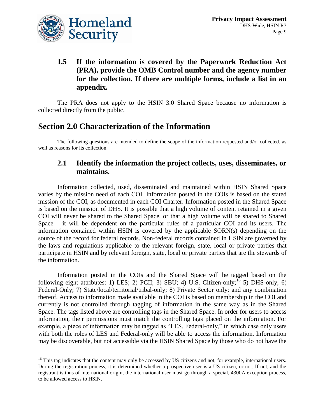

 $\overline{a}$ 

## **1.5 If the information is covered by the Paperwork Reduction Act (PRA), provide the OMB Control number and the agency number for the collection. If there are multiple forms, include a list in an appendix.**

The PRA does not apply to the HSIN 3.0 Shared Space because no information is collected directly from the public.

# **Section 2.0 Characterization of the Information**

The following questions are intended to define the scope of the information requested and/or collected, as well as reasons for its collection.

#### **2.1 Identify the information the project collects, uses, disseminates, or maintains.**

Information collected, used, disseminated and maintained within HSIN Shared Space varies by the mission need of each COI. Information posted in the COIs is based on the stated mission of the COI, as documented in each COI Charter. Information posted in the Shared Space is based on the mission of DHS. It is possible that a high volume of content retained in a given COI will never be shared to the Shared Space, or that a high volume will be shared to Shared Space – it will be dependent on the particular rules of a particular COI and its users. The information contained within HSIN is covered by the applicable SORN(s) depending on the source of the record for federal records. Non-federal records contained in HSIN are governed by the laws and regulations applicable to the relevant foreign, state, local or private parties that participate in HSIN and by relevant foreign, state, local or private parties that are the stewards of the information.

Information posted in the COIs and the Shared Space will be tagged based on the following eight attributes: 1) LES; 2) PCII; 3) SBU; 4) U.S. Citizen-only;  $^{16}$  5) DHS-only; 6) Federal-Only; 7) State/local/territorial/tribal-only; 8) Private Sector only; and any combination thereof. Access to information made available in the COI is based on membership in the COI and currently is not controlled through tagging of information in the same way as in the Shared Space. The tags listed above are controlling tags in the Shared Space. In order for users to access information, their permissions must match the controlling tags placed on the information. For example, a piece of information may be tagged as "LES, Federal-only," in which case only users with both the roles of LES and Federal-only will be able to access the information. Information may be discoverable, but not accessible via the HSIN Shared Space by those who do not have the

 $16$  This tag indicates that the content may only be accessed by US citizens and not, for example, international users. During the registration process, it is determined whether a prospective user is a US citizen, or not. If not, and the registrant is thus of international origin, the international user must go through a special, 4300A exception process, to be allowed access to HSIN.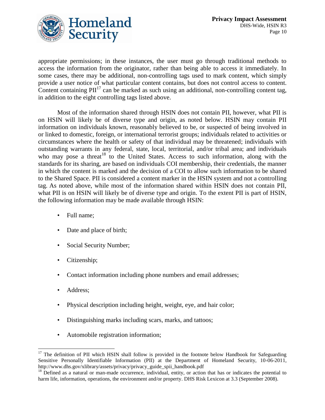

appropriate permissions; in these instances, the user must go through traditional methods to access the information from the originator, rather than being able to access it immediately. In some cases, there may be additional, non-controlling tags used to mark content, which simply provide a user notice of what particular content contains, but does not control access to content. Content containing  $\text{PII}^{17}$  can be marked as such using an additional, non-controlling content tag, in addition to the eight controlling tags listed above.

Most of the information shared through HSIN does not contain PII, however, what PII is on HSIN will likely be of diverse type and origin, as noted below. HSIN may contain PII information on individuals known, reasonably believed to be, or suspected of being involved in or linked to domestic, foreign, or international terrorist groups; individuals related to activities or circumstances where the health or safety of that individual may be threatened; individuals with outstanding warrants in any federal, state, local, territorial, and/or tribal area; and individuals who may pose a threat  $18$  to the United States. Access to such information, along with the standards for its sharing, are based on individuals COI membership, their credentials, the manner in which the content is marked and the decision of a COI to allow such information to be shared to the Shared Space. PII is considered a content marker in the HSIN system and not a controlling tag. As noted above, while most of the information shared within HSIN does not contain PII, what PII is on HSIN will likely be of diverse type and origin. To the extent PII is part of HSIN, the following information may be made available through HSIN:

- Full name;
- Date and place of birth;
- Social Security Number;
- Citizenship;
- Contact information including phone numbers and email addresses;
- Address;

 $\overline{a}$ 

- Physical description including height, weight, eye, and hair color;
- Distinguishing marks including scars, marks, and tattoos;
- Automobile registration information;

 $17$  The definition of PII which HSIN shall follow is provided in the footnote below Handbook for Safeguarding Sensitive Personally Identifiable Information (PII) at the Department of Homeland Security, 10-06-2011, http://www.dhs.gov/xlibrary/assets/privacy/privacy\_guide\_spii\_handbook.pdf

 $18$  Defined as a natural or man-made occurrence, individual, entity, or action that has or indicates the potential to harm life, information, operations, the environment and/or property. DHS Risk Lexicon at 3.3 (September 2008).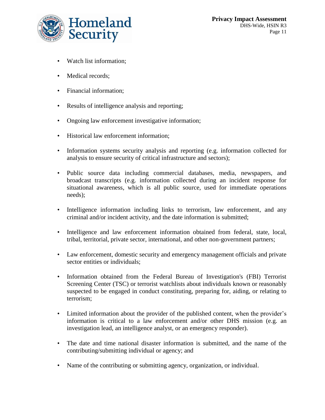

- Watch list information;
- Medical records;
- Financial information;
- Results of intelligence analysis and reporting;
- Ongoing law enforcement investigative information;
- Historical law enforcement information;
- Information systems security analysis and reporting (e.g. information collected for analysis to ensure security of critical infrastructure and sectors);
- Public source data including commercial databases, media, newspapers, and broadcast transcripts (e.g. information collected during an incident response for situational awareness, which is all public source, used for immediate operations needs);
- Intelligence information including links to terrorism, law enforcement, and any criminal and/or incident activity, and the date information is submitted;
- Intelligence and law enforcement information obtained from federal, state, local, tribal, territorial, private sector, international, and other non-government partners;
- Law enforcement, domestic security and emergency management officials and private sector entities or individuals:
- Information obtained from the Federal Bureau of Investigation's (FBI) Terrorist Screening Center (TSC) or terrorist watchlists about individuals known or reasonably suspected to be engaged in conduct constituting, preparing for, aiding, or relating to terrorism;
- Limited information about the provider of the published content, when the provider's information is critical to a law enforcement and/or other DHS mission (e.g. an investigation lead, an intelligence analyst, or an emergency responder).
- The date and time national disaster information is submitted, and the name of the contributing/submitting individual or agency; and
- Name of the contributing or submitting agency, organization, or individual.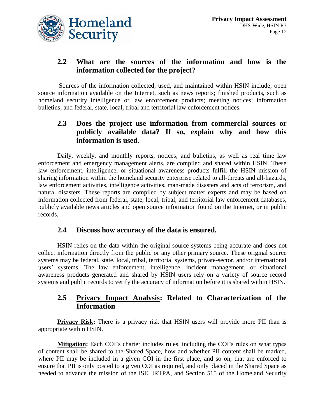

## **2.2 What are the sources of the information and how is the information collected for the project?**

Sources of the information collected, used, and maintained within HSIN include, open source information available on the Internet, such as news reports; finished products, such as homeland security intelligence or law enforcement products; meeting notices; information bulletins; and federal, state, local, tribal and territorial law enforcement notices.

#### **2.3 Does the project use information from commercial sources or publicly available data? If so, explain why and how this information is used.**

Daily, weekly, and monthly reports, notices, and bulletins, as well as real time law enforcement and emergency management alerts, are compiled and shared within HSIN. These law enforcement, intelligence, or situational awareness products fulfill the HSIN mission of sharing information within the homeland security enterprise related to all-threats and all-hazards, law enforcement activities, intelligence activities, man-made disasters and acts of terrorism, and natural disasters. These reports are compiled by subject matter experts and may be based on information collected from federal, state, local, tribal, and territorial law enforcement databases, publicly available news articles and open source information found on the Internet, or in public records.

#### **2.4 Discuss how accuracy of the data is ensured.**

HSIN relies on the data within the original source systems being accurate and does not collect information directly from the public or any other primary source. These original source systems may be federal, state, local, tribal, territorial systems, private-sector, and/or international users' systems. The law enforcement, intelligence, incident management, or situational awareness products generated and shared by HSIN users rely on a variety of source record systems and public records to verify the accuracy of information before it is shared within HSIN.

#### **2.5 Privacy Impact Analysis: Related to Characterization of the Information**

**Privacy Risk:** There is a privacy risk that HSIN users will provide more PII than is appropriate within HSIN.

**Mitigation:** Each COI's charter includes rules, including the COI's rules on what types of content shall be shared to the Shared Space, how and whether PII content shall be marked, where PII may be included in a given COI in the first place, and so on, that are enforced to ensure that PII is only posted to a given COI as required, and only placed in the Shared Space as needed to advance the mission of the ISE, IRTPA, and Section 515 of the Homeland Security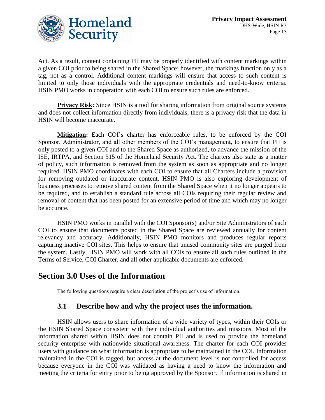

Act. As a result, content containing PII may be properly identified with content markings within a given COI prior to being shared in the Shared Space; however, the markings function only as a tag, not as a control. Additional content markings will ensure that access to such content is limited to only those individuals with the appropriate credentials and need-to-know criteria. HSIN PMO works in cooperation with each COI to ensure such rules are enforced.

**Privacy Risk:** Since HSIN is a tool for sharing information from original source systems and does not collect information directly from individuals, there is a privacy risk that the data in HSIN will become inaccurate.

**Mitigation:** Each COI's charter has enforceable rules, to be enforced by the COI Sponsor, Administrator, and all other members of the COI's management, to ensure that PII is only posted to a given COI and to the Shared Space as authorized, to advance the mission of the ISE, IRTPA, and Section 515 of the Homeland Security Act. The charters also state as a matter of policy, such information is removed from the system as soon as appropriate and no longer required. HSIN PMO coordinates with each COI to ensure that all Charters include a provision for removing outdated or inaccurate content. HSIN PMO is also exploring development of business processes to remove shared content from the Shared Space when it no longer appears to be required, and to establish a standard rule across all COIs requiring their regular review and removal of content that has been posted for an extensive period of time and which may no longer be accurate.

HSIN PMO works in parallel with the COI Sponsor(s) and/or Site Administrators of each COI to ensure that documents posted in the Shared Space are reviewed annually for content relevancy and accuracy. Additionally, HSIN PMO monitors and produces regular reports capturing inactive COI sites. This helps to ensure that unused community sites are purged from the system. Lastly, HSIN PMO will work with all COIs to ensure all such rules outlined in the Terms of Service, COI Charter, and all other applicable documents are enforced.

## **Section 3.0 Uses of the Information**

The following questions require a clear description of the project's use of information.

#### **3.1 Describe how and why the project uses the information.**

HSIN allows users to share information of a wide variety of types, within their COIs or the HSIN Shared Space consistent with their individual authorities and missions. Most of the information shared within HSIN does not contain PII and is used to provide the homeland security enterprise with nationwide situational awareness. The charter for each COI provides users with guidance on what information is appropriate to be maintained in the COI. Information maintained in the COI is tagged, but access at the document level is not controlled for access because everyone in the COI was validated as having a need to know the information and meeting the criteria for entry prior to being approved by the Sponsor. If information is shared in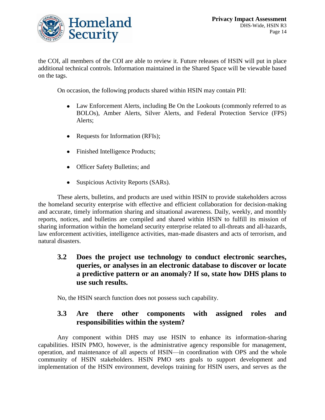

the COI, all members of the COI are able to review it. Future releases of HSIN will put in place additional technical controls. Information maintained in the Shared Space will be viewable based on the tags.

On occasion, the following products shared within HSIN may contain PII:

- Law Enforcement Alerts, including Be On the Lookouts (commonly referred to as BOLOs), Amber Alerts, Silver Alerts, and Federal Protection Service (FPS) Alerts;
- Requests for Information (RFIs);  $\bullet$
- Finished Intelligence Products;
- Officer Safety Bulletins; and
- $\bullet$ Suspicious Activity Reports (SARs).

These alerts, bulletins, and products are used within HSIN to provide stakeholders across the homeland security enterprise with effective and efficient collaboration for decision-making and accurate, timely information sharing and situational awareness. Daily, weekly, and monthly reports, notices, and bulletins are compiled and shared within HSIN to fulfill its mission of sharing information within the homeland security enterprise related to all-threats and all-hazards, law enforcement activities, intelligence activities, man-made disasters and acts of terrorism, and natural disasters.

#### **3.2 Does the project use technology to conduct electronic searches, queries, or analyses in an electronic database to discover or locate a predictive pattern or an anomaly? If so, state how DHS plans to use such results.**

No, the HSIN search function does not possess such capability.

#### **3.3 Are there other components with assigned roles and responsibilities within the system?**

Any component within DHS may use HSIN to enhance its information-sharing capabilities. HSIN PMO, however, is the administrative agency responsible for management, operation, and maintenance of all aspects of HSIN—in coordination with OPS and the whole community of HSIN stakeholders. HSIN PMO sets goals to support development and implementation of the HSIN environment, develops training for HSIN users, and serves as the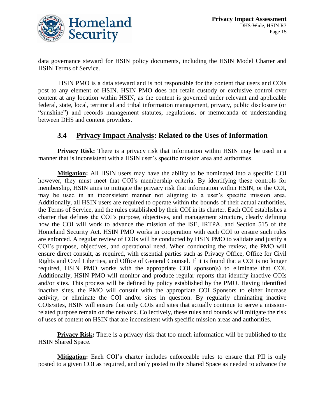

data governance steward for HSIN policy documents, including the HSIN Model Charter and HSIN Terms of Service.

HSIN PMO is a data steward and is not responsible for the content that users and COIs post to any element of HSIN. HSIN PMO does not retain custody or exclusive control over content at any location within HSIN, as the content is governed under relevant and applicable federal, state, local, territorial and tribal information management, privacy, public disclosure (or "sunshine") and records management statutes, regulations, or memoranda of understanding between DHS and content providers.

#### **3.4 Privacy Impact Analysis: Related to the Uses of Information**

**Privacy Risk:** There is a privacy risk that information within HSIN may be used in a manner that is inconsistent with a HSIN user's specific mission area and authorities.

**Mitigation:** All HSIN users may have the ability to be nominated into a specific COI however, they must meet that COI's membership criteria. By identifying these controls for membership, HSIN aims to mitigate the privacy risk that information within HSIN, or the COI, may be used in an inconsistent manner not aligning to a user's specific mission area. Additionally, all HSIN users are required to operate within the bounds of their actual authorities, the Terms of Service, and the rules established by their COI in its charter. Each COI establishes a charter that defines the COI's purpose, objectives, and management structure, clearly defining how the COI will work to advance the mission of the ISE, IRTPA, and Section 515 of the Homeland Security Act. HSIN PMO works in cooperation with each COI to ensure such rules are enforced. A regular review of COIs will be conducted by HSIN PMO to validate and justify a COI's purpose, objectives, and operational need. When conducting the review, the PMO will ensure direct consult, as required, with essential parties such as Privacy Office, Office for Civil Rights and Civil Liberties, and Office of General Counsel. If it is found that a COI is no longer required, HSIN PMO works with the appropriate COI sponsor(s) to eliminate that COI. Additionally, HSIN PMO will monitor and produce regular reports that identify inactive COIs and/or sites. This process will be defined by policy established by the PMO. Having identified inactive sites, the PMO will consult with the appropriate COI Sponsors to either increase activity, or eliminate the COI and/or sites in question. By regularly eliminating inactive COIs/sites, HSIN will ensure that only COIs and sites that actually continue to serve a missionrelated purpose remain on the network. Collectively, these rules and bounds will mitigate the risk of uses of content on HSIN that are inconsistent with specific mission areas and authorities.

**Privacy Risk:** There is a privacy risk that too much information will be published to the HSIN Shared Space.

**Mitigation:** Each COI's charter includes enforceable rules to ensure that PII is only posted to a given COI as required, and only posted to the Shared Space as needed to advance the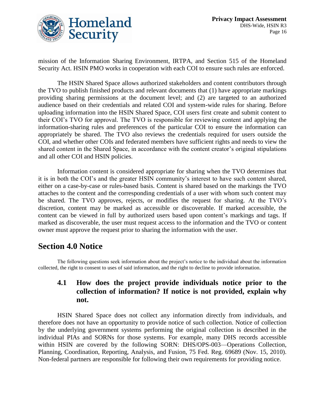

mission of the Information Sharing Environment, IRTPA, and Section 515 of the Homeland Security Act. HSIN PMO works in cooperation with each COI to ensure such rules are enforced.

The HSIN Shared Space allows authorized stakeholders and content contributors through the TVO to publish finished products and relevant documents that (1) have appropriate markings providing sharing permissions at the document level; and (2) are targeted to an authorized audience based on their credentials and related COI and system-wide rules for sharing. Before uploading information into the HSIN Shared Space, COI users first create and submit content to their COI's TVO for approval. The TVO is responsible for reviewing content and applying the information-sharing rules and preferences of the particular COI to ensure the information can appropriately be shared. The TVO also reviews the credentials required for users outside the COI, and whether other COIs and federated members have sufficient rights and needs to view the shared content in the Shared Space, in accordance with the content creator's original stipulations and all other COI and HSIN policies.

Information content is considered appropriate for sharing when the TVO determines that it is in both the COI's and the greater HSIN community's interest to have such content shared, either on a case-by-case or rules-based basis. Content is shared based on the markings the TVO attaches to the content and the corresponding credentials of a user with whom such content may be shared. The TVO approves, rejects, or modifies the request for sharing. At the TVO's discretion, content may be marked as accessible or discoverable. If marked accessible, the content can be viewed in full by authorized users based upon content's markings and tags. If marked as discoverable, the user must request access to the information and the TVO or content owner must approve the request prior to sharing the information with the user.

## **Section 4.0 Notice**

The following questions seek information about the project's notice to the individual about the information collected, the right to consent to uses of said information, and the right to decline to provide information.

#### **4.1 How does the project provide individuals notice prior to the collection of information? If notice is not provided, explain why not.**

HSIN Shared Space does not collect any information directly from individuals, and therefore does not have an opportunity to provide notice of such collection. Notice of collection by the underlying government systems performing the original collection is described in the individual PIAs and SORNs for those systems. For example, many DHS records accessible within HSIN are covered by the following SORN: DHS/OPS-003—Operations Collection, Planning, Coordination, Reporting, Analysis, and Fusion, 75 Fed. Reg. 69689 (Nov. 15, 2010). Non-federal partners are responsible for following their own requirements for providing notice.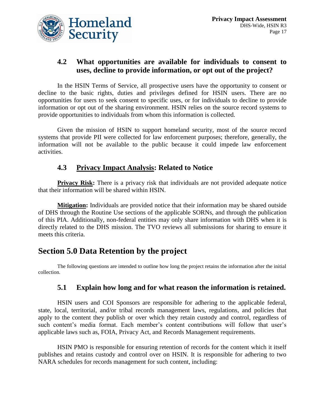

#### **4.2 What opportunities are available for individuals to consent to uses, decline to provide information, or opt out of the project?**

In the HSIN Terms of Service, all prospective users have the opportunity to consent or decline to the basic rights, duties and privileges defined for HSIN users. There are no opportunities for users to seek consent to specific uses, or for individuals to decline to provide information or opt out of the sharing environment. HSIN relies on the source record systems to provide opportunities to individuals from whom this information is collected.

Given the mission of HSIN to support homeland security, most of the source record systems that provide PII were collected for law enforcement purposes; therefore, generally, the information will not be available to the public because it could impede law enforcement activities.

#### **4.3 Privacy Impact Analysis: Related to Notice**

**Privacy Risk:** There is a privacy risk that individuals are not provided adequate notice that their information will be shared within HSIN.

**Mitigation:** Individuals are provided notice that their information may be shared outside of DHS through the Routine Use sections of the applicable SORNs, and through the publication of this PIA. Additionally, non-federal entities may only share information with DHS when it is directly related to the DHS mission. The TVO reviews all submissions for sharing to ensure it meets this criteria.

# **Section 5.0 Data Retention by the project**

The following questions are intended to outline how long the project retains the information after the initial collection.

#### **5.1 Explain how long and for what reason the information is retained.**

HSIN users and COI Sponsors are responsible for adhering to the applicable federal, state, local, territorial, and/or tribal records management laws, regulations, and policies that apply to the content they publish or over which they retain custody and control, regardless of such content's media format. Each member's content contributions will follow that user's applicable laws such as, FOIA, Privacy Act, and Records Management requirements.

HSIN PMO is responsible for ensuring retention of records for the content which it itself publishes and retains custody and control over on HSIN. It is responsible for adhering to two NARA schedules for records management for such content, including: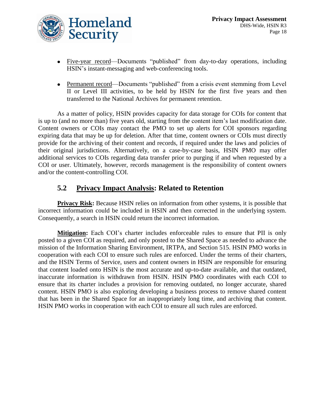

- Five-year record—Documents "published" from day-to-day operations, including HSIN's instant-messaging and web-conferencing tools.
- Permanent record—Documents "published" from a crisis event stemming from Level II or Level III activities, to be held by HSIN for the first five years and then transferred to the National Archives for permanent retention.

As a matter of policy, HSIN provides capacity for data storage for COIs for content that is up to (and no more than) five years old, starting from the content item's last modification date. Content owners or COIs may contact the PMO to set up alerts for COI sponsors regarding expiring data that may be up for deletion. After that time, content owners or COIs must directly provide for the archiving of their content and records, if required under the laws and policies of their original jurisdictions. Alternatively, on a case-by-case basis, HSIN PMO may offer additional services to COIs regarding data transfer prior to purging if and when requested by a COI or user. Ultimately, however, records management is the responsibility of content owners and/or the content-controlling COI.

#### **5.2 Privacy Impact Analysis: Related to Retention**

**Privacy Risk:** Because HSIN relies on information from other systems, it is possible that incorrect information could be included in HSIN and then corrected in the underlying system. Consequently, a search in HSIN could return the incorrect information.

**Mitigation:** Each COI's charter includes enforceable rules to ensure that PII is only posted to a given COI as required, and only posted to the Shared Space as needed to advance the mission of the Information Sharing Environment, IRTPA, and Section 515. HSIN PMO works in cooperation with each COI to ensure such rules are enforced. Under the terms of their charters, and the HSIN Terms of Service, users and content owners in HSIN are responsible for ensuring that content loaded onto HSIN is the most accurate and up-to-date available, and that outdated, inaccurate information is withdrawn from HSIN. HSIN PMO coordinates with each COI to ensure that its charter includes a provision for removing outdated, no longer accurate, shared content. HSIN PMO is also exploring developing a business process to remove shared content that has been in the Shared Space for an inappropriately long time, and archiving that content. HSIN PMO works in cooperation with each COI to ensure all such rules are enforced.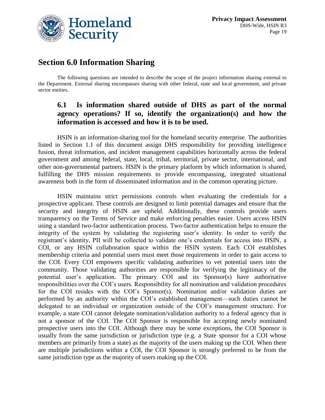

# **Section 6.0 Information Sharing**

The following questions are intended to describe the scope of the project information sharing external to the Department. External sharing encompasses sharing with other federal, state and local government, and private sector entities.

#### **6.1 Is information shared outside of DHS as part of the normal agency operations? If so, identify the organization(s) and how the information is accessed and how it is to be used.**

HSIN is an information-sharing tool for the homeland security enterprise. The authorities listed in Section 1.1 of this document assign DHS responsibility for providing intelligence fusion, threat information, and incident management capabilities horizontally across the federal government and among federal, state, local, tribal, territorial, private sector, international, and other non-governmental partners. HSIN is the primary platform by which information is shared, fulfilling the DHS mission requirements to provide encompassing, integrated situational awareness both in the form of disseminated information and in the common operating picture.

HSIN maintains strict permissions controls when evaluating the credentials for a prospective applicant. These controls are designed to limit potential damages and ensure that the security and integrity of HSIN are upheld. Additionally, these controls provide users transparency on the Terms of Service and make enforcing penalties easier. Users access HSIN using a standard two-factor authentication process. Two-factor authentication helps to ensure the integrity of the system by validating the registering user's identity. In order to verify the registrant's identity, PII will be collected to validate one's credentials for access into HSIN, a COI, or any HSIN collaboration space within the HSIN system. Each COI establishes membership criteria and potential users must meet those requirements in order to gain access to the COI. Every COI empowers specific validating authorities to vet potential users into the community. Those validating authorities are responsible for verifying the legitimacy of the potential user's application. The primary COI and its Sponsor(s) have authoritative responsibilities over the COI's users. Responsibility for all nomination and validation procedures for the COI resides with the COI's Sponsor(s). Nomination and/or validation duties are performed by an authority within the COI's established management—such duties cannot be delegated to an individual or organization outside of the COI's management structure. For example, a state COI cannot delegate nomination/validation authority to a federal agency that is not a sponsor of the COI. The COI Sponsor is responsible for accepting newly nominated prospective users into the COI. Although there may be some exceptions, the COI Sponsor is usually from the same jurisdiction or jurisdiction type (e.g. a State sponsor for a COI whose members are primarily from a state) as the majority of the users making up the COI. When there are multiple jurisdictions within a COI, the COI Sponsor is strongly preferred to be from the same jurisdiction type as the majority of users making up the COI.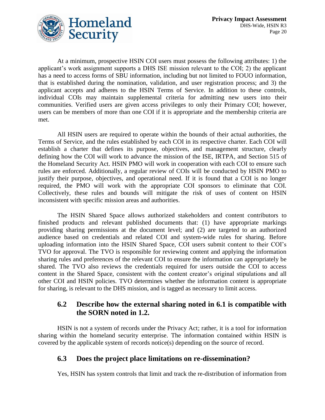

At a minimum, prospective HSIN COI users must possess the following attributes: 1) the applicant's work assignment supports a DHS ISE mission relevant to the COI; 2) the applicant has a need to access forms of SBU information, including but not limited to FOUO information, that is established during the nomination, validation, and user registration process; and 3) the applicant accepts and adheres to the HSIN Terms of Service. In addition to these controls, individual COIs may maintain supplemental criteria for admitting new users into their communities. Verified users are given access privileges to only their Primary COI; however, users can be members of more than one COI if it is appropriate and the membership criteria are met.

All HSIN users are required to operate within the bounds of their actual authorities, the Terms of Service, and the rules established by each COI in its respective charter. Each COI will establish a charter that defines its purpose, objectives, and management structure, clearly defining how the COI will work to advance the mission of the ISE, IRTPA, and Section 515 of the Homeland Security Act. HSIN PMO will work in cooperation with each COI to ensure such rules are enforced. Additionally, a regular review of COIs will be conducted by HSIN PMO to justify their purpose, objectives, and operational need. If it is found that a COI is no longer required, the PMO will work with the appropriate COI sponsors to eliminate that COI. Collectively, these rules and bounds will mitigate the risk of uses of content on HSIN inconsistent with specific mission areas and authorities.

The HSIN Shared Space allows authorized stakeholders and content contributors to finished products and relevant published documents that: (1) have appropriate markings providing sharing permissions at the document level; and (2) are targeted to an authorized audience based on credentials and related COI and system-wide rules for sharing. Before uploading information into the HSIN Shared Space, COI users submit content to their COI's TVO for approval. The TVO is responsible for reviewing content and applying the information sharing rules and preferences of the relevant COI to ensure the information can appropriately be shared. The TVO also reviews the credentials required for users outside the COI to access content in the Shared Space, consistent with the content creator's original stipulations and all other COI and HSIN policies. TVO determines whether the information content is appropriate for sharing, is relevant to the DHS mission, and is tagged as necessary to limit access.

#### **6.2 Describe how the external sharing noted in 6.1 is compatible with the SORN noted in 1.2.**

HSIN is not a system of records under the Privacy Act; rather, it is a tool for information sharing within the homeland security enterprise. The information contained within HSIN is covered by the applicable system of records notice(s) depending on the source of record.

#### **6.3 Does the project place limitations on re-dissemination?**

Yes, HSIN has system controls that limit and track the re-distribution of information from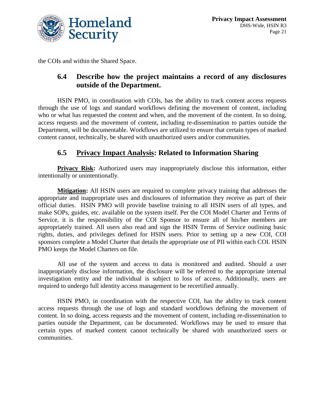

the COIs and within the Shared Space.

#### **6.4 Describe how the project maintains a record of any disclosures outside of the Department.**

HSIN PMO, in coordination with COIs, has the ability to track content access requests through the use of logs and standard workflows defining the movement of content, including who or what has requested the content and when, and the movement of the content. In so doing, access requests and the movement of content, including re-dissemination to parties outside the Department, will be documentable. Workflows are utilized to ensure that certain types of marked content cannot, technically, be shared with unauthorized users and/or communities.

#### **6.5 Privacy Impact Analysis: Related to Information Sharing**

**Privacy Risk:** Authorized users may inappropriately disclose this information, either intentionally or unintentionally.

**Mitigation:** All HSIN users are required to complete privacy training that addresses the appropriate and inappropriate uses and disclosures of information they receive as part of their official duties. HSIN PMO will provide baseline training to all HSIN users of all types, and make SOPs, guides, etc. available on the system itself. Per the COI Model Charter and Terms of Service, it is the responsibility of the COI Sponsor to ensure all of his/her members are appropriately trained. All users also read and sign the HSIN Terms of Service outlining basic rights, duties, and privileges defined for HSIN users. Prior to setting up a new COI, COI sponsors complete a Model Charter that details the appropriate use of PII within each COI. HSIN PMO keeps the Model Charters on file.

All use of the system and access to data is monitored and audited. Should a user inappropriately disclose information, the disclosure will be referred to the appropriate internal investigation entity and the individual is subject to loss of access. Additionally, users are required to undergo full identity access management to be recertified annually.

HSIN PMO, in coordination with the respective COI, has the ability to track content access requests through the use of logs and standard workflows defining the movement of content. In so doing, access requests and the movement of content, including re-dissemination to parties outside the Department, can be documented. Workflows may be used to ensure that certain types of marked content cannot technically be shared with unauthorized users or communities.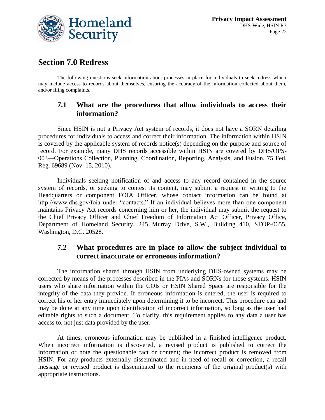

# **Section 7.0 Redress**

The following questions seek information about processes in place for individuals to seek redress which may include access to records about themselves, ensuring the accuracy of the information collected about them, and/or filing complaints.

#### **7.1 What are the procedures that allow individuals to access their information?**

Since HSIN is not a Privacy Act system of records, it does not have a SORN detailing procedures for individuals to access and correct their information. The information within HSIN is covered by the applicable system of records notice(s) depending on the purpose and source of record. For example, many DHS records accessible within HSIN are covered by DHS/OPS-003—Operations Collection, Planning, Coordination, Reporting, Analysis, and Fusion, 75 Fed. Reg. 69689 (Nov. 15, 2010).

Individuals seeking notification of and access to any record contained in the source system of records, or seeking to contest its content, may submit a request in writing to the Headquarters or component FOIA Officer, whose contact information can be found at http://www.dhs.gov/foia under "contacts." If an individual believes more than one component maintains Privacy Act records concerning him or her, the individual may submit the request to the Chief Privacy Officer and Chief Freedom of Information Act Officer, Privacy Office, Department of Homeland Security, 245 Murray Drive, S.W., Building 410, STOP-0655, Washington, D.C. 20528.

#### **7.2 What procedures are in place to allow the subject individual to correct inaccurate or erroneous information?**

The information shared through HSIN from underlying DHS-owned systems may be corrected by means of the processes described in the PIAs and SORNs for those systems. HSIN users who share information within the COIs or HSIN Shared Space are responsible for the integrity of the data they provide. If erroneous information is entered, the user is required to correct his or her entry immediately upon determining it to be incorrect. This procedure can and may be done at any time upon identification of incorrect information, so long as the user had editable rights to such a document. To clarify, this requirement applies to any data a user has access to, not just data provided by the user.

At times, erroneous information may be published in a finished intelligence product. When incorrect information is discovered, a revised product is published to correct the information or note the questionable fact or content; the incorrect product is removed from HSIN. For any products externally disseminated and in need of recall or correction, a recall message or revised product is disseminated to the recipients of the original product(s) with appropriate instructions.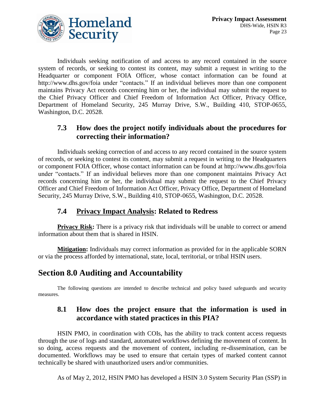

Individuals seeking notification of and access to any record contained in the source system of records, or seeking to contest its content, may submit a request in writing to the Headquarter or component FOIA Officer, whose contact information can be found at http://www.dhs.gov/foia under "contacts." If an individual believes more than one component maintains Privacy Act records concerning him or her, the individual may submit the request to the Chief Privacy Officer and Chief Freedom of Information Act Officer, Privacy Office, Department of Homeland Security, 245 Murray Drive, S.W., Building 410, STOP-0655, Washington, D.C. 20528.

#### **7.3 How does the project notify individuals about the procedures for correcting their information?**

Individuals seeking correction of and access to any record contained in the source system of records, or seeking to contest its content, may submit a request in writing to the Headquarters or component FOIA Officer, whose contact information can be found at http://www.dhs.gov/foia under "contacts." If an individual believes more than one component maintains Privacy Act records concerning him or her, the individual may submit the request to the Chief Privacy Officer and Chief Freedom of Information Act Officer, Privacy Office, Department of Homeland Security, 245 Murray Drive, S.W., Building 410, STOP-0655, Washington, D.C. 20528.

#### **7.4 Privacy Impact Analysis: Related to Redress**

**Privacy Risk:** There is a privacy risk that individuals will be unable to correct or amend information about them that is shared in HSIN.

**Mitigation:** Individuals may correct information as provided for in the applicable SORN or via the process afforded by international, state, local, territorial, or tribal HSIN users.

# **Section 8.0 Auditing and Accountability**

The following questions are intended to describe technical and policy based safeguards and security measures.

#### **8.1 How does the project ensure that the information is used in accordance with stated practices in this PIA?**

HSIN PMO, in coordination with COIs, has the ability to track content access requests through the use of logs and standard, automated workflows defining the movement of content. In so doing, access requests and the movement of content, including re-dissemination, can be documented. Workflows may be used to ensure that certain types of marked content cannot technically be shared with unauthorized users and/or communities.

As of May 2, 2012, HSIN PMO has developed a HSIN 3.0 System Security Plan (SSP) in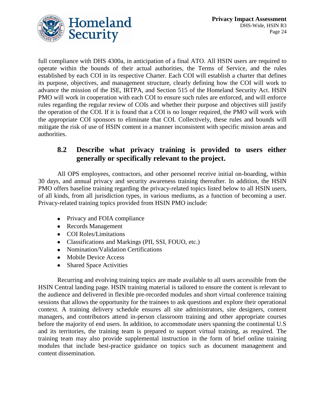

full compliance with DHS 4300a, in anticipation of a final ATO. All HSIN users are required to operate within the bounds of their actual authorities, the Terms of Service, and the rules established by each COI in its respective Charter. Each COI will establish a charter that defines its purpose, objectives, and management structure, clearly defining how the COI will work to advance the mission of the ISE, IRTPA, and Section 515 of the Homeland Security Act. HSIN PMO will work in cooperation with each COI to ensure such rules are enforced, and will enforce rules regarding the regular review of COIs and whether their purpose and objectives still justify the operation of the COI. If it is found that a COI is no longer required, the PMO will work with the appropriate COI sponsors to eliminate that COI. Collectively, these rules and bounds will mitigate the risk of use of HSIN content in a manner inconsistent with specific mission areas and authorities.

#### **8.2 Describe what privacy training is provided to users either generally or specifically relevant to the project.**

All OPS employees, contractors, and other personnel receive initial on-boarding, within 30 days, and annual privacy and security awareness training thereafter. In addition, the HSIN PMO offers baseline training regarding the privacy-related topics listed below to all HSIN users, of all kinds, from all jurisdiction types, in various mediums, as a function of becoming a user. Privacy-related training topics provided from HSIN PMO include:

- Privacy and FOIA compliance
- Records Management
- COI Roles/Limitations
- Classifications and Markings (PII, SSI, FOUO, etc.)
- Nomination/Validation Certifications
- Mobile Device Access
- Shared Space Activities

Recurring and evolving training topics are made available to all users accessible from the HSIN Central landing page. HSIN training material is tailored to ensure the content is relevant to the audience and delivered in flexible pre-recorded modules and short virtual conference training sessions that allows the opportunity for the trainees to ask questions and explore their operational context. A training delivery schedule ensures all site administrators, site designers, content managers, and contributors attend in-person classroom training and other appropriate courses before the majority of end users. In addition, to accommodate users spanning the continental U.S and its territories, the training team is prepared to support virtual training, as required. The training team may also provide supplemental instruction in the form of brief online training modules that include best-practice guidance on topics such as document management and content dissemination.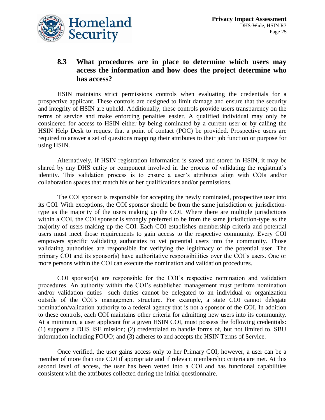

#### **8.3 What procedures are in place to determine which users may access the information and how does the project determine who has access?**

HSIN maintains strict permissions controls when evaluating the credentials for a prospective applicant. These controls are designed to limit damage and ensure that the security and integrity of HSIN are upheld. Additionally, these controls provide users transparency on the terms of service and make enforcing penalties easier. A qualified individual may only be considered for access to HSIN either by being nominated by a current user or by calling the HSIN Help Desk to request that a point of contact (POC) be provided. Prospective users are required to answer a set of questions mapping their attributes to their job function or purpose for using HSIN.

Alternatively, if HSIN registration information is saved and stored in HSIN, it may be shared by any DHS entity or component involved in the process of validating the registrant's identity. This validation process is to ensure a user's attributes align with COIs and/or collaboration spaces that match his or her qualifications and/or permissions.

The COI sponsor is responsible for accepting the newly nominated, prospective user into its COI. With exceptions, the COI sponsor should be from the same jurisdiction or jurisdictiontype as the majority of the users making up the COI. Where there are multiple jurisdictions within a COI, the COI sponsor is strongly preferred to be from the same jurisdiction-type as the majority of users making up the COI. Each COI establishes membership criteria and potential users must meet those requirements to gain access to the respective community. Every COI empowers specific validating authorities to vet potential users into the community. Those validating authorities are responsible for verifying the legitimacy of the potential user. The primary COI and its sponsor(s) have authoritative responsibilities over the COI's users. One or more persons within the COI can execute the nomination and validation procedures.

COI sponsor(s) are responsible for the COI's respective nomination and validation procedures. An authority within the COI's established management must perform nomination and/or validation duties—such duties cannot be delegated to an individual or organization outside of the COI's management structure. For example, a state COI cannot delegate nomination/validation authority to a federal agency that is not a sponsor of the COI. In addition to these controls, each COI maintains other criteria for admitting new users into its community. At a minimum, a user applicant for a given HSIN COI, must possess the following credentials: (1) supports a DHS ISE mission; (2) credentialed to handle forms of, but not limited to, SBU information including FOUO; and (3) adheres to and accepts the HSIN Terms of Service.

Once verified, the user gains access only to her Primary COI; however, a user can be a member of more than one COI if appropriate and if relevant membership criteria are met. At this second level of access, the user has been vetted into a COI and has functional capabilities consistent with the attributes collected during the initial questionnaire.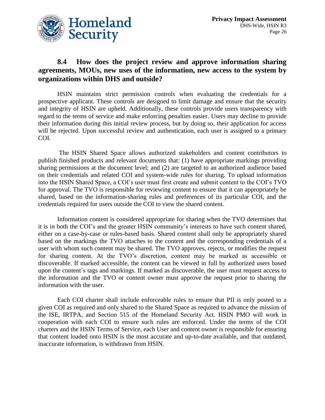

#### **8.4 How does the project review and approve information sharing agreements, MOUs, new uses of the information, new access to the system by organizations within DHS and outside?**

HSIN maintains strict permission controls when evaluating the credentials for a prospective applicant. These controls are designed to limit damage and ensure that the security and integrity of HSIN are upheld. Additionally, these controls provide users transparency with regard to the terms of service and make enforcing penalties easier. Users may decline to provide their information during this initial review process, but by doing so, their application for access will be rejected. Upon successful review and authentication, each user is assigned to a primary COI.

The HSIN Shared Space allows authorized stakeholders and content contributors to publish finished products and relevant documents that: (1) have appropriate markings providing sharing permissions at the document level; and (2) are targeted to an authorized audience based on their credentials and related COI and system-wide rules for sharing. To upload information into the HSIN Shared Space, a COI's user must first create and submit content to the COI's TVO for approval. The TVO is responsible for reviewing content to ensure that it can appropriately be shared, based on the information-sharing rules and preferences of its particular COI, and the credentials required for users outside the COI to view the shared content.

Information content is considered appropriate for sharing when the TVO determines that it is in both the COI's and the greater HSIN community's interests to have such content shared, either on a case-by-case or rules-based basis. Shared content shall only be appropriately shared based on the markings the TVO attaches to the content and the corresponding credentials of a user with whom such content may be shared. The TVO approves, rejects, or modifies the request for sharing content. At the TVO's discretion, content may be marked as accessible or discoverable. If marked accessible, the content can be viewed in full by authorized users based upon the content's tags and markings. If marked as discoverable, the user must request access to the information and the TVO or content owner must approve the request prior to sharing the information with the user.

Each COI charter shall include enforceable rules to ensure that PII is only posted to a given COI as required and only shared to the Shared Space as required to advance the mission of the ISE, IRTPA, and Section 515 of the Homeland Security Act. HSIN PMO will work in cooperation with each COI to ensure such rules are enforced. Under the terms of the COI charters and the HSIN Terms of Service, each User and content owner is responsible for ensuring that content loaded onto HSIN is the most accurate and up-to-date available, and that outdated, inaccurate information, is withdrawn from HSIN.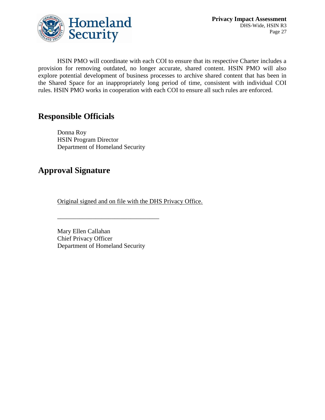

HSIN PMO will coordinate with each COI to ensure that its respective Charter includes a provision for removing outdated, no longer accurate, shared content. HSIN PMO will also explore potential development of business processes to archive shared content that has been in the Shared Space for an inappropriately long period of time, consistent with individual COI rules. HSIN PMO works in cooperation with each COI to ensure all such rules are enforced.

# **Responsible Officials**

Donna Roy HSIN Program Director Department of Homeland Security

# **Approval Signature**

Original signed and on file with the DHS Privacy Office.

Mary Ellen Callahan Chief Privacy Officer Department of Homeland Security

\_\_\_\_\_\_\_\_\_\_\_\_\_\_\_\_\_\_\_\_\_\_\_\_\_\_\_\_\_\_\_\_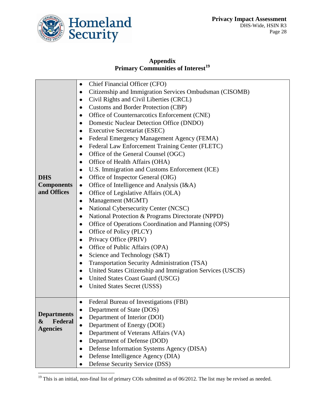

#### **Appendix Primary Communities of Interest<sup>19</sup>**

| <b>DHS</b><br><b>Components</b><br>and Offices        | Chief Financial Officer (CFO)<br>٠<br>Citizenship and Immigration Services Ombudsman (CISOMB)<br>٠<br>Civil Rights and Civil Liberties (CRCL)<br>٠<br><b>Customs and Border Protection (CBP)</b><br>$\bullet$<br>Office of Counternarcotics Enforcement (CNE)<br>$\bullet$<br>Domestic Nuclear Detection Office (DNDO)<br>٠<br><b>Executive Secretariat (ESEC)</b><br>٠<br>Federal Emergency Management Agency (FEMA)<br>Federal Law Enforcement Training Center (FLETC)<br>$\bullet$<br>Office of the General Counsel (OGC)<br>٠<br>Office of Health Affairs (OHA)<br>٠<br>U.S. Immigration and Customs Enforcement (ICE)<br>٠<br>Office of Inspector General (OIG)<br>٠<br>Office of Intelligence and Analysis (I&A)<br>٠<br>Office of Legislative Affairs (OLA)<br>$\bullet$<br>Management (MGMT)<br>$\bullet$<br>National Cybersecurity Center (NCSC)<br>$\bullet$<br>National Protection & Programs Directorate (NPPD)<br>Office of Operations Coordination and Planning (OPS)<br>٠<br>Office of Policy (PLCY)<br>Privacy Office (PRIV)<br>٠<br>Office of Public Affairs (OPA)<br>٠<br>Science and Technology (S&T)<br>٠<br>Transportation Security Administration (TSA)<br>$\bullet$<br>United States Citizenship and Immigration Services (USCIS)<br>٠<br>United States Coast Guard (USCG)<br>$\bullet$<br>United States Secret (USSS) |
|-------------------------------------------------------|-----------------------------------------------------------------------------------------------------------------------------------------------------------------------------------------------------------------------------------------------------------------------------------------------------------------------------------------------------------------------------------------------------------------------------------------------------------------------------------------------------------------------------------------------------------------------------------------------------------------------------------------------------------------------------------------------------------------------------------------------------------------------------------------------------------------------------------------------------------------------------------------------------------------------------------------------------------------------------------------------------------------------------------------------------------------------------------------------------------------------------------------------------------------------------------------------------------------------------------------------------------------------------------------------------------------------------------------------|
| <b>Departments</b><br>Federal<br>&<br><b>Agencies</b> | Federal Bureau of Investigations (FBI)<br>Department of State (DOS)<br>Department of Interior (DOI)<br>Department of Energy (DOE)<br>Department of Veterans Affairs (VA)<br>Department of Defense (DOD)<br>Defense Information Systems Agency (DISA)<br>٠<br>Defense Intelligence Agency (DIA)<br>Defense Security Service (DSS)<br>٠                                                                                                                                                                                                                                                                                                                                                                                                                                                                                                                                                                                                                                                                                                                                                                                                                                                                                                                                                                                                         |

<sup>&</sup>lt;sup>19</sup> This is an initial, non-final list of primary COIs submitted as of  $06/2012$ . The list may be revised as needed.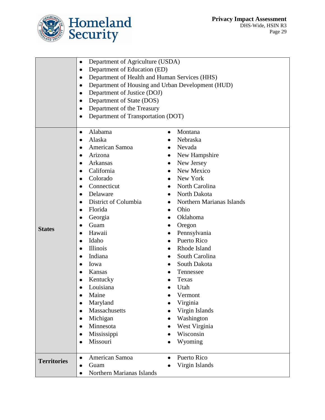

|                    | Department of Agriculture (USDA)<br>$\bullet$              |                                                   |  |  |
|--------------------|------------------------------------------------------------|---------------------------------------------------|--|--|
|                    | Department of Education (ED)<br>٠                          |                                                   |  |  |
|                    | Department of Health and Human Services (HHS)<br>$\bullet$ |                                                   |  |  |
|                    | ٠                                                          | Department of Housing and Urban Development (HUD) |  |  |
|                    | Department of Justice (DOJ)<br>٠                           |                                                   |  |  |
|                    | Department of State (DOS)<br>$\bullet$                     |                                                   |  |  |
|                    | Department of the Treasury<br>$\bullet$                    |                                                   |  |  |
|                    | Department of Transportation (DOT)<br>$\bullet$            |                                                   |  |  |
|                    |                                                            |                                                   |  |  |
|                    | Alabama<br>$\bullet$                                       | Montana<br>$\bullet$                              |  |  |
|                    | Alaska<br>$\bullet$                                        | Nebraska                                          |  |  |
|                    | American Samoa<br>$\bullet$                                | Nevada                                            |  |  |
|                    | Arizona                                                    | New Hampshire                                     |  |  |
|                    | Arkansas<br>٠                                              | New Jersey                                        |  |  |
|                    | California<br>٠                                            | New Mexico                                        |  |  |
|                    | Colorado<br>$\bullet$                                      | New York                                          |  |  |
|                    | Connecticut<br>$\bullet$                                   | North Carolina                                    |  |  |
|                    | Delaware                                                   | North Dakota                                      |  |  |
|                    | District of Columbia<br>$\bullet$                          | Northern Marianas Islands                         |  |  |
|                    | Florida<br>$\bullet$                                       | Ohio                                              |  |  |
|                    | Georgia<br>$\bullet$                                       | Oklahoma                                          |  |  |
| <b>States</b>      | Guam                                                       | Oregon                                            |  |  |
|                    | Hawaii<br>٠                                                | Pennsylvania                                      |  |  |
|                    | Idaho<br>٠                                                 | Puerto Rico                                       |  |  |
|                    | Illinois<br>$\bullet$                                      | Rhode Island                                      |  |  |
|                    | Indiana<br>٠                                               | South Carolina                                    |  |  |
|                    | Iowa                                                       | South Dakota                                      |  |  |
|                    | Kansas<br>$\bullet$                                        | Tennessee                                         |  |  |
|                    | Kentucky                                                   | Texas                                             |  |  |
|                    | Louisiana                                                  | Utah                                              |  |  |
|                    | Maine                                                      | Vermont                                           |  |  |
|                    | Maryland<br>$\bullet$                                      | Virginia                                          |  |  |
|                    | Massachusetts<br>٠                                         | Virgin Islands                                    |  |  |
|                    | Michigan<br>$\bullet$                                      | Washington                                        |  |  |
|                    | Minnesota<br>$\bullet$                                     | West Virginia                                     |  |  |
|                    | Mississippi                                                | Wisconsin                                         |  |  |
|                    | Missouri<br>٠                                              | Wyoming                                           |  |  |
|                    | American Samoa<br>$\bullet$                                | Puerto Rico                                       |  |  |
| <b>Territories</b> | Guam                                                       | Virgin Islands                                    |  |  |
|                    | Northern Marianas Islands<br>٠                             |                                                   |  |  |
|                    |                                                            |                                                   |  |  |